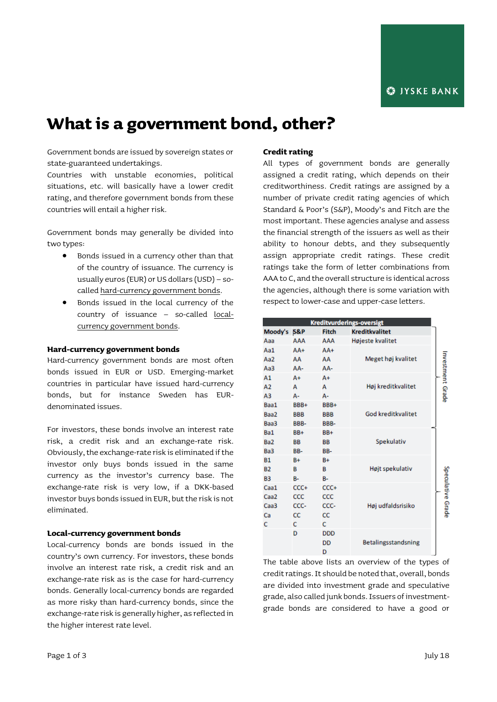# **What is a government bond, other?**

Government bonds are issued by sovereign states or state-guaranteed undertakings.

Countries with unstable economies, political situations, etc. will basically have a lower credit rating, and therefore government bonds from these countries will entail a higher risk.

Government bonds may generally be divided into two types:

- Bonds issued in a currency other than that of the country of issuance. The currency is usually euros (EUR) or US dollars (USD) – socalled hard-currency government bonds.
- Bonds issued in the local currency of the country of issuance - so-called <u>local-</u> currency government bonds.

#### **Hard-currency government bonds**

Hard-currency government bonds are most often bonds issued in EUR or USD. Emerging-market countries in particular have issued hard-currency bonds, but for instance Sweden has EURdenominated issues.

For investors, these bonds involve an interest rate risk, a credit risk and an exchange-rate risk. Obviously, the exchange-rate risk is eliminated if the investor only buys bonds issued in the same currency as the investor's currency base. The exchange-rate risk is very low, if a DKK-based investor buys bonds issued in EUR, but the risk is not eliminated.

#### **Local-currency government bonds**

Local-currency bonds are bonds issued in the country's own currency. For investors, these bonds involve an interest rate risk, a credit risk and an exchange-rate risk as is the case for hard-currency bonds. Generally local-currency bonds are regarded as more risky than hard-currency bonds, since the exchange-rate risk is generally higher, as reflected in the higher interest rate level.

# **Credit rating**

All types of government bonds are generally assigned a credit rating, which depends on their creditworthiness. Credit ratings are assigned by a number of private credit rating agencies of which Standard & Poor's (S&P), Moody's and Fitch are the most important. These agencies analyse and assess the financial strength of the issuers as well as their ability to honour debts, and they subsequently assign appropriate credit ratings. These credit ratings take the form of letter combinations from AAA to C, and the overall structure is identical across the agencies, although there is some variation with respect to lower-case and upper-case letters.

| Kreditvurderings-oversigt |            |            |                       |                   |
|---------------------------|------------|------------|-----------------------|-------------------|
| Moody's S&P               |            | Fitch      | <b>Kreditkvalitet</b> |                   |
| Ааа                       | AAA        | AAA        | Højeste kvalitet      |                   |
| Aa1                       | $AA+$      | $AA+$      |                       |                   |
| Aa2                       | AA         | AA         | Meget høj kvalitet    |                   |
| АаЗ                       | AA-        | AA-        |                       |                   |
| Α1                        | A+         | $A+$       |                       | Investment Grade  |
| A2                        | A          | A          | Høj kreditkvalitet    |                   |
| A3                        | А-         | $A -$      |                       |                   |
| Baa1                      | BBB+       | BBB+       |                       |                   |
| Baa2                      | <b>BBB</b> | <b>BBB</b> | God kreditkvalitet    |                   |
| Baa3                      | BBB-       | BBB-       |                       |                   |
| Ba1                       | BB+        | BB+        |                       |                   |
| Ba <sub>2</sub>           | BB         | <b>BB</b>  | Spekulativ            |                   |
| Ba3                       | BB-        | BB-        |                       |                   |
| <b>B1</b>                 | B+         | $B+$       |                       |                   |
| <b>B2</b>                 | в          | в          | Højt spekulativ       |                   |
| B3                        | B-         | <b>B-</b>  |                       |                   |
| Caa1                      | CCC+       | CCC+       |                       | Speculative Grade |
| Caa <sub>2</sub>          | CCC        | CCC        |                       |                   |
| Caa <sub>3</sub>          | CCC-       | CCC-       | Høj udfaldsrisiko     |                   |
| Ca                        | CC         | <b>CC</b>  |                       |                   |
| c                         | c          | C.         |                       |                   |
|                           | D          | <b>DDD</b> |                       |                   |
|                           |            | <b>DD</b>  | Betalingsstandsning   |                   |
|                           |            | n.         |                       |                   |

The table above lists an overview of the types of credit ratings. It should be noted that, overall, bonds are divided into investment grade and speculative grade, also called junk bonds. Issuers of investmentgrade bonds are considered to have a good or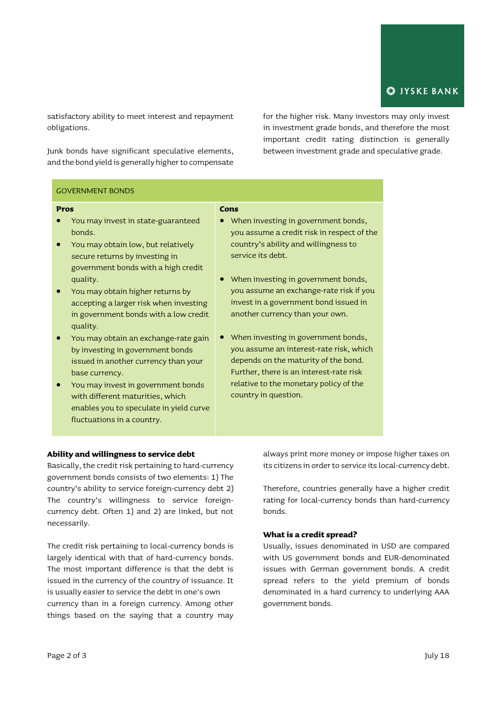satisfactory ability to meet interest and repayment obligations.

Junk bonds have significant speculative elements, and the bond yield is generally higher to compensate for the higher risk. Many investors may only invest in investment grade bonds, and therefore the most important credit rating distinction is generally between investment grade and speculative grade.

# GOVERNMENT BONDS

#### **Pros**

- You may invest in state-guaranteed bonds.
- You may obtain low, but relatively secure returns by investing in government bonds with a high credit quality.
- You may obtain higher returns by accepting a larger risk when investing in government bonds with a low credit quality.
- You may obtain an exchange-rate gain by investing in government bonds issued in another currency than your base currency.
- You may invest in government bonds with different maturities, which enables you to speculate in yield curve fluctuations in a country.

#### **Cons**

- When investing in government bonds, you assume a credit risk in respect of the country's ability and willingness to service its debt.
- When investing in government bonds, you assume an exchange-rate risk if you invest in a government bond issued in another currency than your own.
- When investing in government bonds, you assume an interest-rate risk, which depends on the maturity of the bond. Further, there is an interest-rate risk relative to the monetary policy of the country in question.

# **Ability and willingness to service debt**

Basically, the credit risk pertaining to hard-currency government bonds consists of two elements: 1) The country's ability to service foreign-currency debt 2) The country's willingness to service foreigncurrency debt. Often 1) and 2) are linked, but not necessarily.

The credit risk pertaining to local-currency bonds is largely identical with that of hard-currency bonds. The most important difference is that the debt is issued in the currency of the country of issuance. It is usually easier to service the debt in one's own currency than in a foreign currency. Among other things based on the saying that a country may

always print more money or impose higher taxes on its citizens in order to service its local-currency debt.

Therefore, countries generally have a higher credit rating for local-currency bonds than hard-currency bonds.

# **What is a credit spread?**

Usually, issues denominated in USD are compared with US government bonds and EUR-denominated issues with German government bonds. A credit spread refers to the yield premium of bonds denominated in a hard currency to underlying AAA government bonds.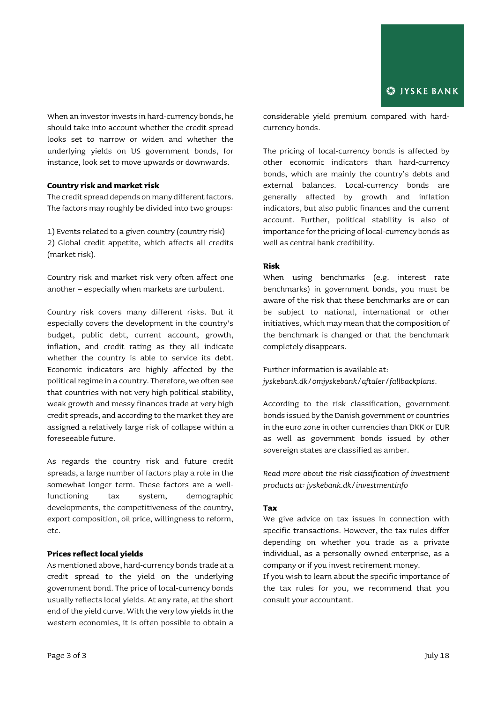When an investor invests in hard-currency bonds, he should take into account whether the credit spread looks set to narrow or widen and whether the underlying yields on US government bonds, for instance, look set to move upwards or downwards.

#### **Country risk and market risk**

The credit spread depends on many different factors. The factors may roughly be divided into two groups:

1) Events related to a given country (country risk) 2) Global credit appetite, which affects all credits (market risk).

Country risk and market risk very often affect one another – especially when markets are turbulent.

Country risk covers many different risks. But it especially covers the development in the country's budget, public debt, current account, growth, inflation, and credit rating as they all indicate whether the country is able to service its debt. Economic indicators are highly affected by the political regime in a country. Therefore, we often see that countries with not very high political stability, weak growth and messy finances trade at very high credit spreads, and according to the market they are assigned a relatively large risk of collapse within a foreseeable future.

As regards the country risk and future credit spreads, a large number of factors play a role in the somewhat longer term. These factors are a wellfunctioning tax system, demographic developments, the competitiveness of the country, export composition, oil price, willingness to reform, etc.

#### **Prices reflect local yields**

As mentioned above, hard-currency bonds trade at a credit spread to the yield on the underlying government bond. The price of local-currency bonds usually reflects local yields. At any rate, at the short end of the yield curve. With the very low yields in the western economies, it is often possible to obtain a

considerable yield premium compared with hardcurrency bonds.

The pricing of local-currency bonds is affected by other economic indicators than hard-currency bonds, which are mainly the country's debts and external balances. Local-currency bonds are generally affected by growth and inflation indicators, but also public finances and the current account. Further, political stability is also of importance for the pricing of local-currency bonds as well as central bank credibility.

# **Risk**

When using benchmarks (e.g. interest rate benchmarks) in government bonds, you must be aware of the risk that these benchmarks are or can be subject to national, international or other initiatives, which may mean that the composition of the benchmark is changed or that the benchmark completely disappears.

Further information is available at: *[jyskebank.dk/omjyskebank/aftaler/fallbackplans.](http://www.jyskebank.dk/omjyskebank/aftaler/fallbackplans)*

According to the risk classification, government bonds issued by the Danish government or countries in the euro zone in other currencies than DKK or EUR as well as government bonds issued by other sovereign states are classified as amber.

*Read more about the risk classification of investment products at: jyskebank.dk/investmentinfo*

#### **Tax**

We give advice on tax issues in connection with specific transactions. However, the tax rules differ depending on whether you trade as a private individual, as a personally owned enterprise, as a company or if you invest retirement money.

If you wish to learn about the specific importance of the tax rules for you, we recommend that you consult your accountant.